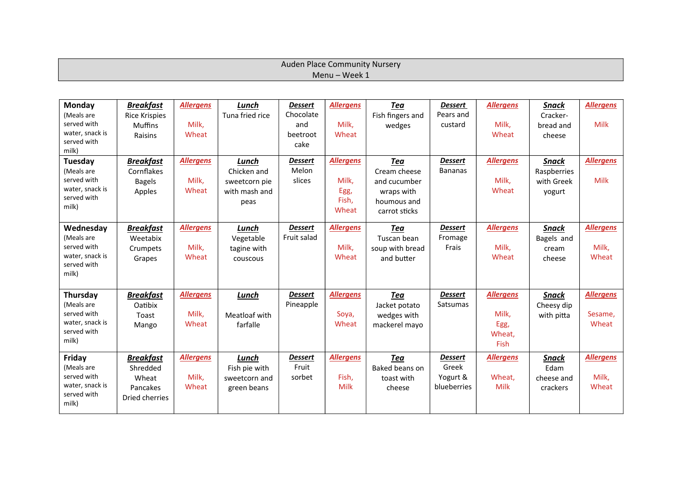| Auden Place Community Nursery |  |
|-------------------------------|--|
| Menu - Week 1                 |  |

| Monday                    | <b>Breakfast</b>          | <b>Allergens</b> | <b>Lunch</b>    | <b>Dessert</b>   | <b>Allergens</b> | <b>Tea</b>       | <b>Dessert</b>       | <b>Allergens</b> | <b>Snack</b>        | <b>Allergens</b> |
|---------------------------|---------------------------|------------------|-----------------|------------------|------------------|------------------|----------------------|------------------|---------------------|------------------|
| (Meals are<br>served with | <b>Rice Krispies</b>      | Milk,            | Tuna fried rice | Chocolate<br>and | Milk,            | Fish fingers and | Pears and<br>custard | Milk,            | Cracker-            | <b>Milk</b>      |
| water, snack is           | <b>Muffins</b><br>Raisins | Wheat            |                 | beetroot         | Wheat            | wedges           |                      | Wheat            | bread and<br>cheese |                  |
| served with               |                           |                  |                 | cake             |                  |                  |                      |                  |                     |                  |
| milk)                     |                           |                  |                 |                  |                  |                  |                      |                  |                     |                  |
| Tuesday                   | <b>Breakfast</b>          | <b>Allergens</b> | Lunch           | <b>Dessert</b>   | <b>Allergens</b> | Tea              | <b>Dessert</b>       | <b>Allergens</b> | <b>Snack</b>        | <b>Allergens</b> |
| (Meals are                | Cornflakes                |                  | Chicken and     | Melon            |                  | Cream cheese     | <b>Bananas</b>       |                  | Raspberries         |                  |
| served with               | <b>Bagels</b>             | Milk,            | sweetcorn pie   | slices           | Milk,            | and cucumber     |                      | Milk,            | with Greek          | <b>Milk</b>      |
| water, snack is           | Apples                    | Wheat            | with mash and   |                  | Egg,             | wraps with       |                      | Wheat            | yogurt              |                  |
| served with               |                           |                  | peas            |                  | Fish,            | houmous and      |                      |                  |                     |                  |
| milk)                     |                           |                  |                 |                  | Wheat            | carrot sticks    |                      |                  |                     |                  |
| Wednesday                 | <b>Breakfast</b>          | <b>Allergens</b> | Lunch           | <b>Dessert</b>   | <b>Allergens</b> | Tea              | <b>Dessert</b>       | <b>Allergens</b> | <b>Snack</b>        | <b>Allergens</b> |
| (Meals are                | Weetabix                  |                  | Vegetable       | Fruit salad      |                  | Tuscan bean      | Fromage              |                  | Bagels and          |                  |
| served with               | Crumpets                  | Milk,            | tagine with     |                  | Milk,            | soup with bread  | Frais                | Milk,            | cream               | Milk,            |
| water, snack is           | Grapes                    | Wheat            | couscous        |                  | Wheat            | and butter       |                      | Wheat            | cheese              | Wheat            |
| served with               |                           |                  |                 |                  |                  |                  |                      |                  |                     |                  |
| milk)                     |                           |                  |                 |                  |                  |                  |                      |                  |                     |                  |
| Thursday                  | <b>Breakfast</b>          | <b>Allergens</b> | <b>Lunch</b>    | <b>Dessert</b>   | <b>Allergens</b> | <b>Tea</b>       | <b>Dessert</b>       | <b>Allergens</b> | <b>Snack</b>        | <b>Allergens</b> |
| (Meals are                | Oatibix                   |                  |                 | Pineapple        |                  | Jacket potato    | <b>Satsumas</b>      |                  | Cheesy dip          |                  |
| served with               | Toast                     | Milk,            | Meatloaf with   |                  | Soya,            | wedges with      |                      | Milk,            | with pitta          | Sesame,          |
| water, snack is           | Mango                     | Wheat            | farfalle        |                  | Wheat            | mackerel mayo    |                      | Egg,             |                     | Wheat            |
| served with               |                           |                  |                 |                  |                  |                  |                      | Wheat,           |                     |                  |
| milk)                     |                           |                  |                 |                  |                  |                  |                      | Fish             |                     |                  |
| Friday                    | <b>Breakfast</b>          | <b>Allergens</b> | Lunch           | <b>Dessert</b>   | <b>Allergens</b> | Tea              | <b>Dessert</b>       | <b>Allergens</b> | Snack               | <b>Allergens</b> |
| (Meals are                | Shredded                  |                  | Fish pie with   | Fruit            |                  | Baked beans on   | Greek                |                  | Edam                |                  |
| served with               | Wheat                     | Milk,            | sweetcorn and   | sorbet           | Fish,            | toast with       | Yogurt &             | Wheat,           | cheese and          | Milk,            |
| water, snack is           | Pancakes                  | Wheat            | green beans     |                  | Milk             | cheese           | blueberries          | Milk             | crackers            | Wheat            |
| served with<br>milk)      | Dried cherries            |                  |                 |                  |                  |                  |                      |                  |                     |                  |
|                           |                           |                  |                 |                  |                  |                  |                      |                  |                     |                  |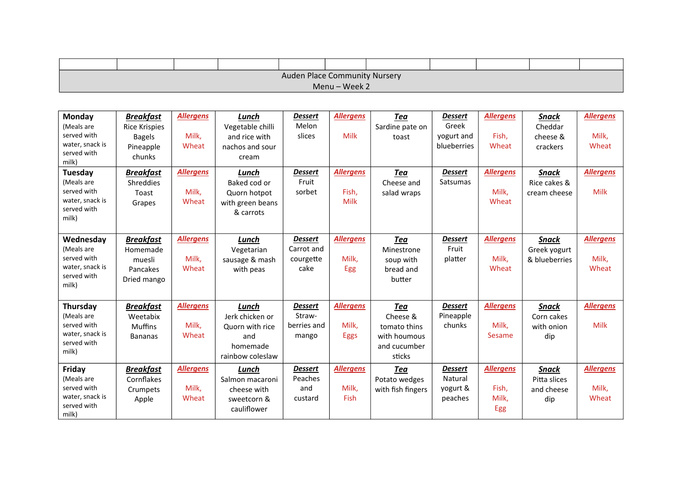| Auden Place Community Nursery |  |  |  |  |  |  |  |  |  |  |
|-------------------------------|--|--|--|--|--|--|--|--|--|--|
| Menu - Week 2                 |  |  |  |  |  |  |  |  |  |  |

| Monday<br>(Meals are<br>served with<br>water, snack is<br>served with<br>milk)<br>Tuesday<br>(Meals are<br>served with<br>water, snack is<br>served with<br>milk) | <b>Breakfast</b><br><b>Rice Krispies</b><br><b>Bagels</b><br>Pineapple<br>chunks<br><b>Breakfast</b><br>Shreddies<br>Toast<br>Grapes | <b>Allergens</b><br>Milk,<br>Wheat<br><b>Allergens</b><br>Milk,<br>Wheat | Lunch<br>Vegetable chilli<br>and rice with<br>nachos and sour<br>cream<br>Lunch<br>Baked cod or<br>Quorn hotpot<br>with green beans<br>& carrots | <b>Dessert</b><br>Melon<br>slices<br><b>Dessert</b><br>Fruit<br>sorbet | <b>Allergens</b><br>Milk<br><b>Allergens</b><br>Fish,<br>Milk | Tea<br>Sardine pate on<br>toast<br><b>Tea</b><br>Cheese and<br>salad wraps       | <b>Dessert</b><br>Greek<br>yogurt and<br>blueberries<br><b>Dessert</b><br><b>Satsumas</b> | <b>Allergens</b><br>Fish,<br>Wheat<br><b>Allergens</b><br>Milk,<br>Wheat | <b>Snack</b><br>Cheddar<br>cheese &<br>crackers<br><b>Snack</b><br>Rice cakes &<br>cream cheese | <b>Allergens</b><br>Milk,<br>Wheat<br><b>Allergens</b><br><b>Milk</b> |
|-------------------------------------------------------------------------------------------------------------------------------------------------------------------|--------------------------------------------------------------------------------------------------------------------------------------|--------------------------------------------------------------------------|--------------------------------------------------------------------------------------------------------------------------------------------------|------------------------------------------------------------------------|---------------------------------------------------------------|----------------------------------------------------------------------------------|-------------------------------------------------------------------------------------------|--------------------------------------------------------------------------|-------------------------------------------------------------------------------------------------|-----------------------------------------------------------------------|
| Wednesday<br>(Meals are<br>served with<br>water, snack is<br>served with<br>milk)                                                                                 | <b>Breakfast</b><br>Homemade<br>muesli<br>Pancakes<br>Dried mango                                                                    | <b>Allergens</b><br>Milk,<br>Wheat                                       | Lunch<br>Vegetarian<br>sausage & mash<br>with peas                                                                                               | <b>Dessert</b><br>Carrot and<br>courgette<br>cake                      | <b>Allergens</b><br>Milk,<br>Egg                              | <b>Tea</b><br>Minestrone<br>soup with<br>bread and<br>butter                     | <b>Dessert</b><br>Fruit<br>platter                                                        | <b>Allergens</b><br>Milk,<br>Wheat                                       | <b>Snack</b><br>Greek yogurt<br>& blueberries                                                   | <b>Allergens</b><br>Milk,<br>Wheat                                    |
| Thursday<br>(Meals are<br>served with<br>water, snack is<br>served with<br>milk)                                                                                  | <b>Breakfast</b><br>Weetabix<br><b>Muffins</b><br><b>Bananas</b>                                                                     | <b>Allergens</b><br>Milk,<br>Wheat                                       | Lunch<br>Jerk chicken or<br>Quorn with rice<br>and<br>homemade<br>rainbow coleslaw                                                               | <b>Dessert</b><br>Straw-<br>berries and<br>mango                       | <b>Allergens</b><br>Milk.<br><b>Eggs</b>                      | <b>Tea</b><br>Cheese &<br>tomato thins<br>with houmous<br>and cucumber<br>sticks | <b>Dessert</b><br>Pineapple<br>chunks                                                     | <b>Allergens</b><br>Milk,<br>Sesame                                      | <b>Snack</b><br>Corn cakes<br>with onion<br>dip                                                 | <b>Allergens</b><br><b>Milk</b>                                       |
| Friday<br>(Meals are<br>served with<br>water, snack is<br>served with<br>milk)                                                                                    | <b>Breakfast</b><br>Cornflakes<br>Crumpets<br>Apple                                                                                  | <b>Allergens</b><br>Milk,<br>Wheat                                       | Lunch<br>Salmon macaroni<br>cheese with<br>sweetcorn &<br>cauliflower                                                                            | <b>Dessert</b><br>Peaches<br>and<br>custard                            | <b>Allergens</b><br>Milk.<br>Fish                             | Tea<br>Potato wedges<br>with fish fingers                                        | <b>Dessert</b><br>Natural<br>yogurt &<br>peaches                                          | <b>Allergens</b><br>Fish,<br>Milk,<br>Egg                                | <b>Snack</b><br>Pitta slices<br>and cheese<br>dip                                               | <b>Allergens</b><br>Milk,<br>Wheat                                    |